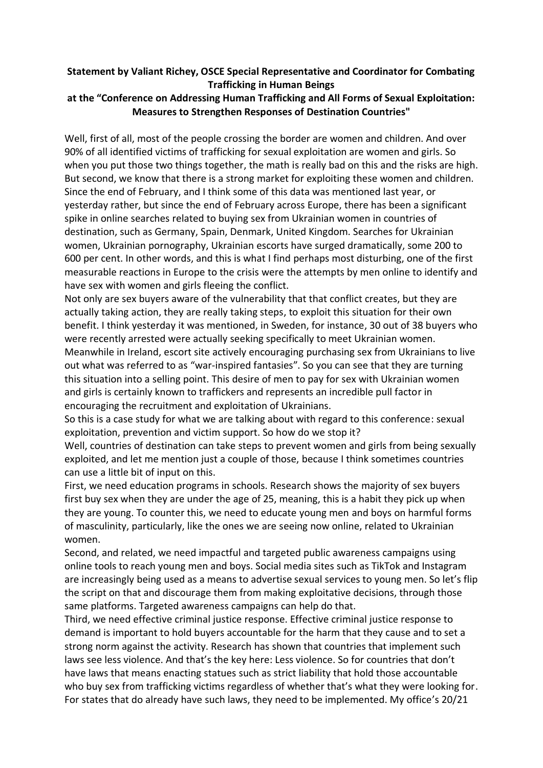## **Statement by Valiant Richey, OSCE Special Representative and Coordinator for Combating Trafficking in Human Beings**

## **at the "Conference on Addressing Human Trafficking and All Forms of Sexual Exploitation: Measures to Strengthen Responses of Destination Countries"**

Well, first of all, most of the people crossing the border are women and children. And over 90% of all identified victims of trafficking for sexual exploitation are women and girls. So when you put those two things together, the math is really bad on this and the risks are high. But second, we know that there is a strong market for exploiting these women and children. Since the end of February, and I think some of this data was mentioned last year, or yesterday rather, but since the end of February across Europe, there has been a significant spike in online searches related to buying sex from Ukrainian women in countries of destination, such as Germany, Spain, Denmark, United Kingdom. Searches for Ukrainian women, Ukrainian pornography, Ukrainian escorts have surged dramatically, some 200 to 600 per cent. In other words, and this is what I find perhaps most disturbing, one of the first measurable reactions in Europe to the crisis were the attempts by men online to identify and have sex with women and girls fleeing the conflict.

Not only are sex buyers aware of the vulnerability that that conflict creates, but they are actually taking action, they are really taking steps, to exploit this situation for their own benefit. I think yesterday it was mentioned, in Sweden, for instance, 30 out of 38 buyers who were recently arrested were actually seeking specifically to meet Ukrainian women. Meanwhile in Ireland, escort site actively encouraging purchasing sex from Ukrainians to live out what was referred to as "war-inspired fantasies". So you can see that they are turning this situation into a selling point. This desire of men to pay for sex with Ukrainian women and girls is certainly known to traffickers and represents an incredible pull factor in encouraging the recruitment and exploitation of Ukrainians.

So this is a case study for what we are talking about with regard to this conference: sexual exploitation, prevention and victim support. So how do we stop it?

Well, countries of destination can take steps to prevent women and girls from being sexually exploited, and let me mention just a couple of those, because I think sometimes countries can use a little bit of input on this.

First, we need education programs in schools. Research shows the majority of sex buyers first buy sex when they are under the age of 25, meaning, this is a habit they pick up when they are young. To counter this, we need to educate young men and boys on harmful forms of masculinity, particularly, like the ones we are seeing now online, related to Ukrainian women.

Second, and related, we need impactful and targeted public awareness campaigns using online tools to reach young men and boys. Social media sites such as TikTok and Instagram are increasingly being used as a means to advertise sexual services to young men. So let's flip the script on that and discourage them from making exploitative decisions, through those same platforms. Targeted awareness campaigns can help do that.

Third, we need effective criminal justice response. Effective criminal justice response to demand is important to hold buyers accountable for the harm that they cause and to set a strong norm against the activity. Research has shown that countries that implement such laws see less violence. And that's the key here: Less violence. So for countries that don't have laws that means enacting statues such as strict liability that hold those accountable who buy sex from trafficking victims regardless of whether that's what they were looking for. For states that do already have such laws, they need to be implemented. My office's 20/21